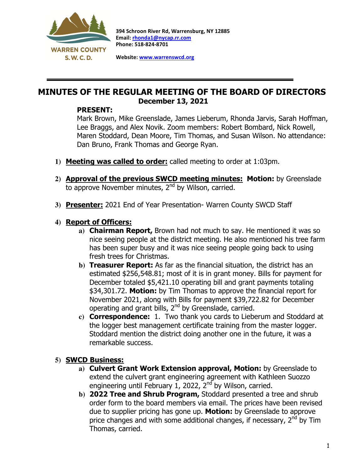

 $\overline{a}$ 

394 Schroon River Rd, Warrensburg, NY 12885 Email: rhonda1@nycap.rr.com Phone: 518-824-8701

Website: www.warrenswcd.org

# MINUTES OF THE REGULAR MEETING OF THE BOARD OF DIRECTORS December 13, 2021

### PRESENT:

Mark Brown, Mike Greenslade, James Lieberum, Rhonda Jarvis, Sarah Hoffman, Lee Braggs, and Alex Novik. Zoom members: Robert Bombard, Nick Rowell, Maren Stoddard, Dean Moore, Tim Thomas, and Susan Wilson. No attendance: Dan Bruno, Frank Thomas and George Ryan.

- **1)** Meeting was called to order: called meeting to order at 1:03pm.
- **2)** Approval of the previous SWCD meeting minutes: Motion: by Greenslade to approve November minutes, 2<sup>nd</sup> by Wilson, carried.
- **3)** Presenter: 2021 End of Year Presentation- Warren County SWCD Staff

## **4)** Report of Officers:

- **a)** Chairman Report, Brown had not much to say. He mentioned it was so nice seeing people at the district meeting. He also mentioned his tree farm has been super busy and it was nice seeing people going back to using fresh trees for Christmas.
- **b)** Treasurer Report: As far as the financial situation, the district has an estimated \$256,548.81; most of it is in grant money. Bills for payment for December totaled \$5,421.10 operating bill and grant payments totaling \$34,301.72. Motion: by Tim Thomas to approve the financial report for November 2021, along with Bills for payment \$39,722.82 for December operating and grant bills, 2<sup>nd</sup> by Greenslade, carried.
- **c)** Correspondence: 1. Two thank you cards to Lieberum and Stoddard at the logger best management certificate training from the master logger. Stoddard mention the district doing another one in the future, it was a remarkable success.

## **5)** SWCD Business:

- **a)** Culvert Grant Work Extension approval, Motion: by Greenslade to extend the culvert grant engineering agreement with Kathleen Suozzo engineering until February 1, 2022,  $2<sup>nd</sup>$  by Wilson, carried.
- **b)** 2022 Tree and Shrub Program, Stoddard presented a tree and shrub order form to the board members via email. The prices have been revised due to supplier pricing has gone up. Motion: by Greenslade to approve price changes and with some additional changes, if necessary, 2<sup>nd</sup> by Tim Thomas, carried.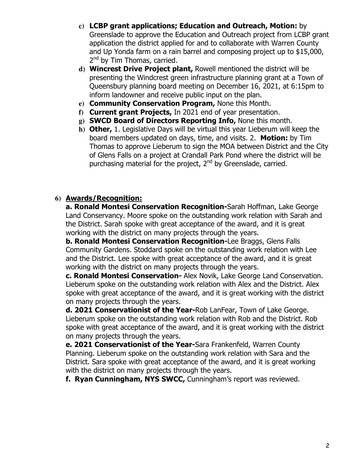- **c)** LCBP grant applications; Education and Outreach, Motion: by Greenslade to approve the Education and Outreach project from LCBP grant application the district applied for and to collaborate with Warren County and Up Yonda farm on a rain barrel and composing project up to \$15,000, 2<sup>nd</sup> by Tim Thomas, carried.
- **d)** Wincrest Drive Project plant, Rowell mentioned the district will be presenting the Windcrest green infrastructure planning grant at a Town of Queensbury planning board meeting on December 16, 2021, at 6:15pm to inform landowner and receive public input on the plan.
- **e)** Community Conservation Program, None this Month.
- **f)** Current grant Projects, In 2021 end of year presentation.
- **g)** SWCD Board of Directors Reporting Info, None this month.
- **h)** Other, 1. Legislative Days will be virtual this year Lieberum will keep the board members updated on days, time, and visits. 2. Motion: by Tim Thomas to approve Lieberum to sign the MOA between District and the City of Glens Falls on a project at Crandall Park Pond where the district will be purchasing material for the project,  $2^{nd}$  by Greenslade, carried.

## **6)** Awards/Recognition:

a. Ronald Montesi Conservation Recognition-Sarah Hoffman, Lake George Land Conservancy. Moore spoke on the outstanding work relation with Sarah and the District. Sarah spoke with great acceptance of the award, and it is great working with the district on many projects through the years.

b. Ronald Montesi Conservation Recognition-Lee Braggs, Glens Falls Community Gardens. Stoddard spoke on the outstanding work relation with Lee and the District. Lee spoke with great acceptance of the award, and it is great working with the district on many projects through the years.

c. Ronald Montesi Conservation- Alex Novik, Lake George Land Conservation. Lieberum spoke on the outstanding work relation with Alex and the District. Alex spoke with great acceptance of the award, and it is great working with the district on many projects through the years.

d. 2021 Conservationist of the Year-Rob LanFear, Town of Lake George. Lieberum spoke on the outstanding work relation with Rob and the District. Rob spoke with great acceptance of the award, and it is great working with the district on many projects through the years.

e. 2021 Conservationist of the Year-Sara Frankenfeld, Warren County Planning. Lieberum spoke on the outstanding work relation with Sara and the District. Sara spoke with great acceptance of the award, and it is great working with the district on many projects through the years.

f. Ryan Cunningham, NYS SWCC, Cunningham's report was reviewed.